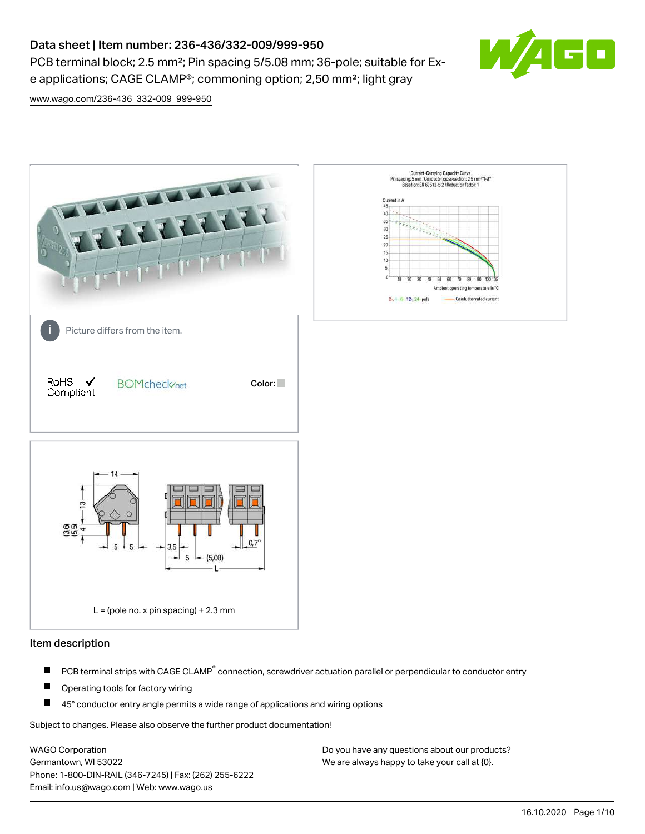# Data sheet | Item number: 236-436/332-009/999-950

PCB terminal block; 2.5 mm<sup>2</sup>; Pin spacing 5/5.08 mm; 36-pole; suitable for Exe applications; CAGE CLAMP®; commoning option; 2,50 mm²; light gray



[www.wago.com/236-436\\_332-009\\_999-950](http://www.wago.com/236-436_332-009_999-950)



### Item description

- PCB terminal strips with CAGE CLAMP<sup>®</sup> connection, screwdriver actuation parallel or perpendicular to conductor entry П
- П Operating tools for factory wiring
- П 45° conductor entry angle permits a wide range of applications and wiring options

Subject to changes. Please also observe the further product documentation!

WAGO Corporation Germantown, WI 53022 Phone: 1-800-DIN-RAIL (346-7245) | Fax: (262) 255-6222 Email: info.us@wago.com | Web: www.wago.us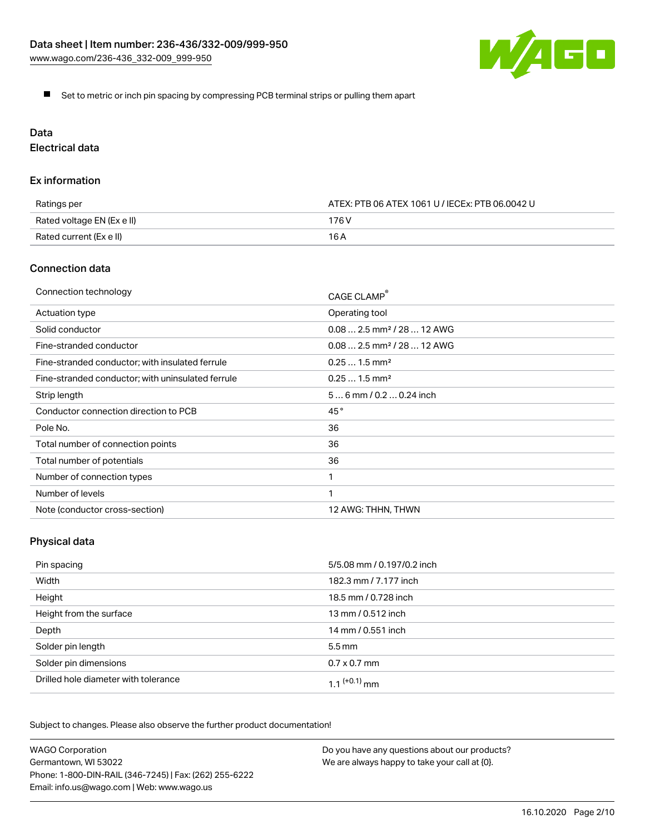

Set to metric or inch pin spacing by compressing PCB terminal strips or pulling them apart

# Data

Electrical data

### Ex information

| Ratings per                | ATEX: PTB 06 ATEX 1061 U / IECEx: PTB 06.0042 U |  |
|----------------------------|-------------------------------------------------|--|
| Rated voltage EN (Ex e II) | 176 V                                           |  |
| Rated current (Ex e II)    | 16 A                                            |  |

## Connection data

| Connection technology                             | CAGE CLAMP                              |
|---------------------------------------------------|-----------------------------------------|
| Actuation type                                    | Operating tool                          |
| Solid conductor                                   | $0.08$ 2.5 mm <sup>2</sup> / 28  12 AWG |
| Fine-stranded conductor                           | $0.08$ 2.5 mm <sup>2</sup> / 28  12 AWG |
| Fine-stranded conductor; with insulated ferrule   | $0.251.5$ mm <sup>2</sup>               |
| Fine-stranded conductor; with uninsulated ferrule | $0.251.5$ mm <sup>2</sup>               |
| Strip length                                      | $56$ mm $/ 0.20.24$ inch                |
| Conductor connection direction to PCB             | 45°                                     |
| Pole No.                                          | 36                                      |
| Total number of connection points                 | 36                                      |
| Total number of potentials                        | 36                                      |
| Number of connection types                        |                                         |
| Number of levels                                  | 1                                       |
| Note (conductor cross-section)                    | 12 AWG: THHN, THWN                      |

# Physical data

| Pin spacing                          | 5/5.08 mm / 0.197/0.2 inch |
|--------------------------------------|----------------------------|
| Width                                | 182.3 mm / 7.177 inch      |
| Height                               | 18.5 mm / 0.728 inch       |
| Height from the surface              | 13 mm / 0.512 inch         |
| Depth                                | 14 mm / 0.551 inch         |
| Solder pin length                    | $5.5 \,\mathrm{mm}$        |
| Solder pin dimensions                | $0.7 \times 0.7$ mm        |
| Drilled hole diameter with tolerance | 1 1 $(+0.1)$ mm            |

Subject to changes. Please also observe the further product documentation!

| <b>WAGO Corporation</b>                                | Do you have any questions about our products? |
|--------------------------------------------------------|-----------------------------------------------|
| Germantown, WI 53022                                   | We are always happy to take your call at {0}. |
| Phone: 1-800-DIN-RAIL (346-7245)   Fax: (262) 255-6222 |                                               |
| Email: info.us@wago.com   Web: www.wago.us             |                                               |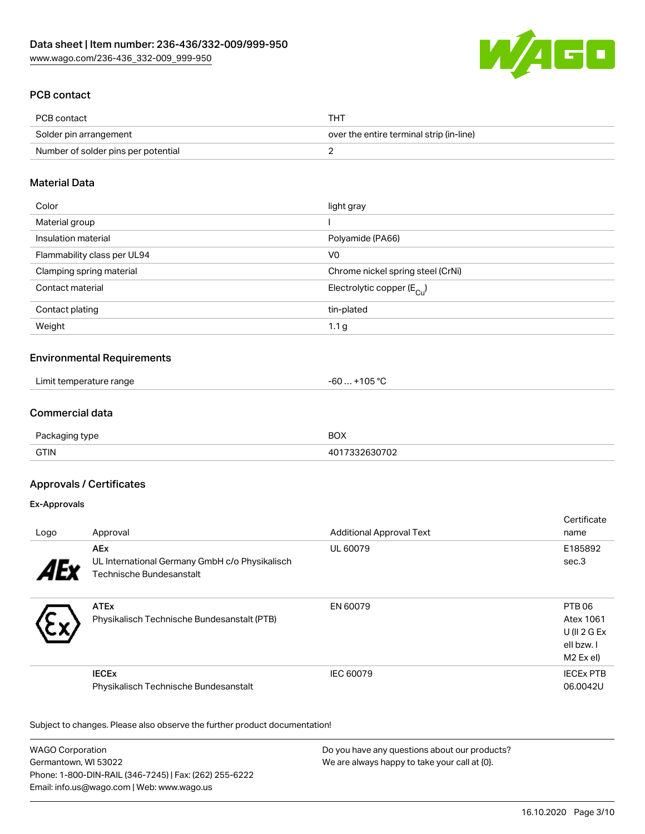

# PCB contact

| PCB contact                         | THT                                      |
|-------------------------------------|------------------------------------------|
| Solder pin arrangement              | over the entire terminal strip (in-line) |
| Number of solder pins per potential |                                          |

## Material Data

| Color                       | light gray                              |
|-----------------------------|-----------------------------------------|
| Material group              |                                         |
| Insulation material         | Polyamide (PA66)                        |
| Flammability class per UL94 | V <sub>0</sub>                          |
| Clamping spring material    | Chrome nickel spring steel (CrNi)       |
| Contact material            | Electrolytic copper ( $E_{\text{Cu}}$ ) |
| Contact plating             | tin-plated                              |
| Weight                      | 1.1 <sub>g</sub>                        |

## Environmental Requirements

| Limit temperature range | $\sim$ $\sim$ $\sim$<br>~~<br>ำ৸<br>-bu<br>ັບປ |
|-------------------------|------------------------------------------------|
|-------------------------|------------------------------------------------|

### Commercial data

| Doc         | nov<br>ישכ |
|-------------|------------|
| <b>GTIN</b> |            |

### Approvals / Certificates

### Ex-Approvals

|                                                |                                 | Certificate       |
|------------------------------------------------|---------------------------------|-------------------|
| Approval                                       | <b>Additional Approval Text</b> | name              |
| <b>AEx</b>                                     | UL 60079                        | E185892           |
| UL International Germany GmbH c/o Physikalisch |                                 | sec.3             |
|                                                |                                 |                   |
|                                                |                                 |                   |
| <b>ATEx</b>                                    | EN 60079                        | PTB <sub>06</sub> |
| Physikalisch Technische Bundesanstalt (PTB)    |                                 | Atex 1061         |
|                                                |                                 | U (II $2$ G Ex    |
|                                                |                                 | ell bzw. I        |
|                                                |                                 | M2 Ex el)         |
| <b>IECE<sub>x</sub></b>                        | IEC 60079                       | <b>IECEX PTB</b>  |
| Physikalisch Technische Bundesanstalt          |                                 | 06.0042U          |
|                                                | Technische Bundesanstalt        |                   |

Subject to changes. Please also observe the further product documentation!

| <b>WAGO Corporation</b>                                | Do you have any questions about our products? |
|--------------------------------------------------------|-----------------------------------------------|
| Germantown, WI 53022                                   | We are always happy to take your call at {0}. |
| Phone: 1-800-DIN-RAIL (346-7245)   Fax: (262) 255-6222 |                                               |
| Email: info.us@wago.com   Web: www.wago.us             |                                               |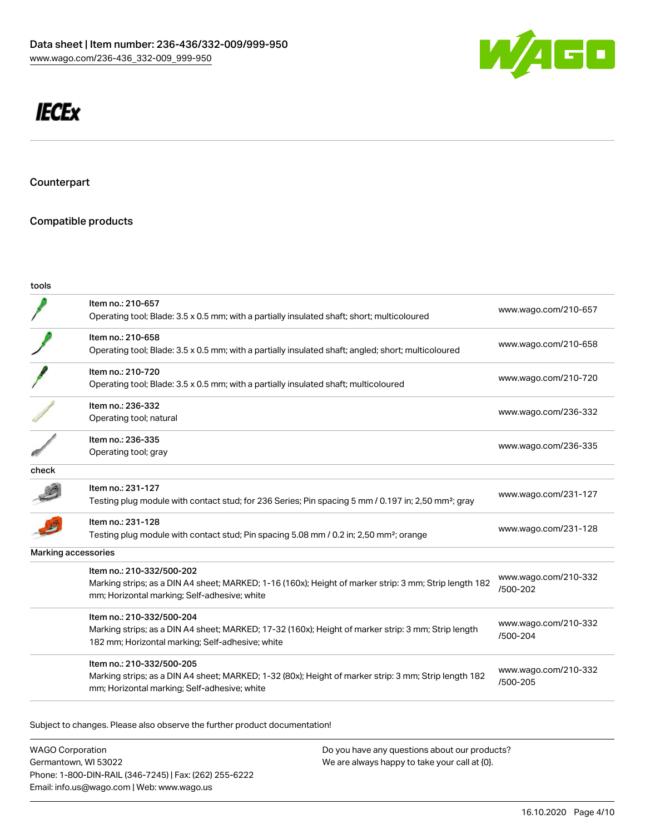

# **IECEx**

**Counterpart** 

# Compatible products

| tools |                                                                                                                                                                                      |                                  |
|-------|--------------------------------------------------------------------------------------------------------------------------------------------------------------------------------------|----------------------------------|
|       | Item no.: 210-657<br>Operating tool; Blade: 3.5 x 0.5 mm; with a partially insulated shaft; short; multicoloured                                                                     | www.wago.com/210-657             |
|       | Item no.: 210-658<br>Operating tool; Blade: 3.5 x 0.5 mm; with a partially insulated shaft; angled; short; multicoloured                                                             | www.wago.com/210-658             |
|       | Item no.: 210-720<br>Operating tool; Blade: 3.5 x 0.5 mm; with a partially insulated shaft; multicoloured                                                                            | www.wago.com/210-720             |
|       | Item no.: 236-332<br>Operating tool; natural                                                                                                                                         | www.wago.com/236-332             |
|       | Item no.: 236-335<br>Operating tool; gray                                                                                                                                            | www.wago.com/236-335             |
| check |                                                                                                                                                                                      |                                  |
|       | Item no.: 231-127<br>Testing plug module with contact stud; for 236 Series; Pin spacing 5 mm / 0.197 in; 2,50 mm <sup>2</sup> ; gray                                                 | www.wago.com/231-127             |
|       | Item no.: 231-128<br>Testing plug module with contact stud; Pin spacing 5.08 mm / 0.2 in; 2,50 mm <sup>2</sup> ; orange                                                              | www.wago.com/231-128             |
|       | Marking accessories                                                                                                                                                                  |                                  |
|       | Item no.: 210-332/500-202<br>Marking strips; as a DIN A4 sheet; MARKED; 1-16 (160x); Height of marker strip: 3 mm; Strip length 182<br>mm; Horizontal marking; Self-adhesive; white  | www.wago.com/210-332<br>/500-202 |
|       | Item no.: 210-332/500-204<br>Marking strips; as a DIN A4 sheet; MARKED; 17-32 (160x); Height of marker strip: 3 mm; Strip length<br>182 mm; Horizontal marking; Self-adhesive; white | www.wago.com/210-332<br>/500-204 |
|       | Item no.: 210-332/500-205<br>Marking strips; as a DIN A4 sheet; MARKED; 1-32 (80x); Height of marker strip: 3 mm; Strip length 182<br>mm; Horizontal marking; Self-adhesive; white   | www.wago.com/210-332<br>/500-205 |
|       |                                                                                                                                                                                      |                                  |

Subject to changes. Please also observe the further product documentation!

WAGO Corporation Germantown, WI 53022 Phone: 1-800-DIN-RAIL (346-7245) | Fax: (262) 255-6222 Email: info.us@wago.com | Web: www.wago.us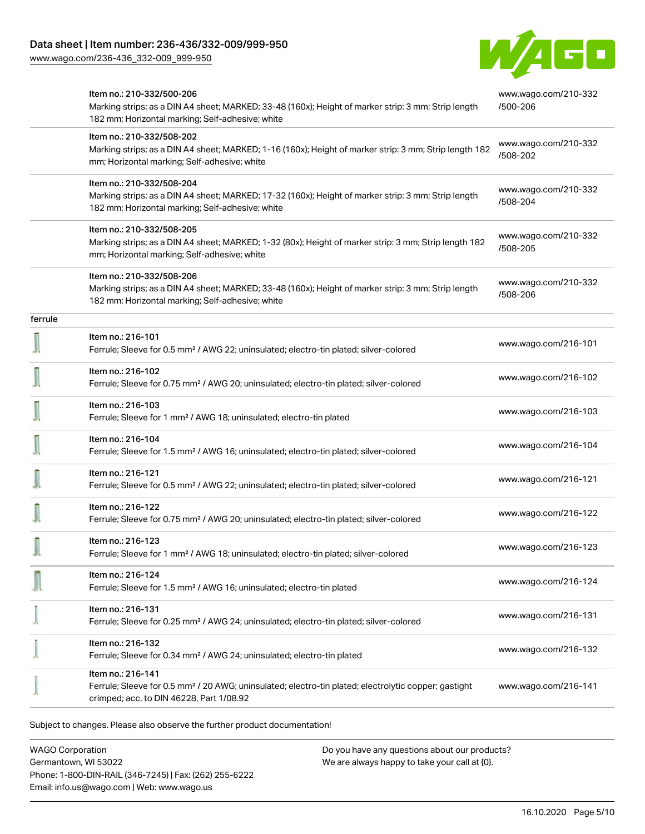[www.wago.com/236-436\\_332-009\\_999-950](http://www.wago.com/236-436_332-009_999-950)



|         | Item no.: 210-332/500-206<br>Marking strips; as a DIN A4 sheet; MARKED; 33-48 (160x); Height of marker strip: 3 mm; Strip length<br>182 mm; Horizontal marking; Self-adhesive; white | www.wago.com/210-332<br>/500-206 |
|---------|--------------------------------------------------------------------------------------------------------------------------------------------------------------------------------------|----------------------------------|
|         | Item no.: 210-332/508-202<br>Marking strips; as a DIN A4 sheet; MARKED; 1-16 (160x); Height of marker strip: 3 mm; Strip length 182<br>mm; Horizontal marking; Self-adhesive; white  | www.wago.com/210-332<br>/508-202 |
|         | Item no.: 210-332/508-204<br>Marking strips; as a DIN A4 sheet; MARKED; 17-32 (160x); Height of marker strip: 3 mm; Strip length<br>182 mm; Horizontal marking; Self-adhesive; white | www.wago.com/210-332<br>/508-204 |
|         | Item no.: 210-332/508-205<br>Marking strips; as a DIN A4 sheet; MARKED; 1-32 (80x); Height of marker strip: 3 mm; Strip length 182<br>mm; Horizontal marking; Self-adhesive; white   | www.wago.com/210-332<br>/508-205 |
|         | Item no.: 210-332/508-206<br>Marking strips; as a DIN A4 sheet; MARKED; 33-48 (160x); Height of marker strip: 3 mm; Strip length<br>182 mm; Horizontal marking; Self-adhesive; white | www.wago.com/210-332<br>/508-206 |
| ferrule |                                                                                                                                                                                      |                                  |
|         | Item no.: 216-101<br>Ferrule; Sleeve for 0.5 mm <sup>2</sup> / AWG 22; uninsulated; electro-tin plated; silver-colored                                                               | www.wago.com/216-101             |
|         | Item no.: 216-102<br>Ferrule; Sleeve for 0.75 mm <sup>2</sup> / AWG 20; uninsulated; electro-tin plated; silver-colored                                                              | www.wago.com/216-102             |
|         | Item no.: 216-103<br>Ferrule; Sleeve for 1 mm <sup>2</sup> / AWG 18; uninsulated; electro-tin plated                                                                                 | www.wago.com/216-103             |
|         | Item no.: 216-104<br>Ferrule; Sleeve for 1.5 mm <sup>2</sup> / AWG 16; uninsulated; electro-tin plated; silver-colored                                                               | www.wago.com/216-104             |
|         | Item no.: 216-121<br>Ferrule; Sleeve for 0.5 mm <sup>2</sup> / AWG 22; uninsulated; electro-tin plated; silver-colored                                                               | www.wago.com/216-121             |
|         | Item no.: 216-122<br>Ferrule; Sleeve for 0.75 mm <sup>2</sup> / AWG 20; uninsulated; electro-tin plated; silver-colored                                                              | www.wago.com/216-122             |
|         | Item no.: 216-123<br>Ferrule; Sleeve for 1 mm <sup>2</sup> / AWG 18; uninsulated; electro-tin plated; silver-colored                                                                 | www.wago.com/216-123             |
|         | Item no.: 216-124<br>Ferrule; Sleeve for 1.5 mm <sup>2</sup> / AWG 16; uninsulated; electro-tin plated                                                                               | www.wago.com/216-124             |
|         | Item no.: 216-131<br>Ferrule; Sleeve for 0.25 mm <sup>2</sup> / AWG 24; uninsulated; electro-tin plated; silver-colored                                                              | www.wago.com/216-131             |
|         | Item no.: 216-132<br>Ferrule; Sleeve for 0.34 mm <sup>2</sup> / AWG 24; uninsulated; electro-tin plated                                                                              | www.wago.com/216-132             |
|         | Item no.: 216-141<br>Ferrule; Sleeve for 0.5 mm <sup>2</sup> / 20 AWG; uninsulated; electro-tin plated; electrolytic copper; gastight<br>crimped; acc. to DIN 46228, Part 1/08.92    | www.wago.com/216-141             |

Subject to changes. Please also observe the further product documentation!

WAGO Corporation Germantown, WI 53022 Phone: 1-800-DIN-RAIL (346-7245) | Fax: (262) 255-6222 Email: info.us@wago.com | Web: www.wago.us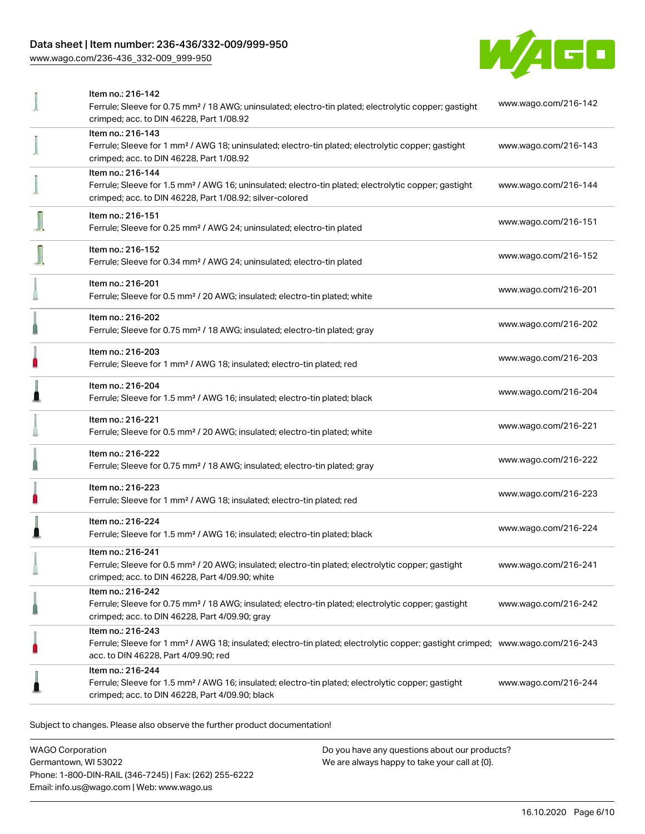### Data sheet | Item number: 236-436/332-009/999-950

[www.wago.com/236-436\\_332-009\\_999-950](http://www.wago.com/236-436_332-009_999-950)



| Item no.: 216-142<br>Ferrule; Sleeve for 0.75 mm <sup>2</sup> / 18 AWG; uninsulated; electro-tin plated; electrolytic copper; gastight<br>crimped; acc. to DIN 46228, Part 1/08.92                      | www.wago.com/216-142 |
|---------------------------------------------------------------------------------------------------------------------------------------------------------------------------------------------------------|----------------------|
| Item no.: 216-143<br>Ferrule; Sleeve for 1 mm <sup>2</sup> / AWG 18; uninsulated; electro-tin plated; electrolytic copper; gastight<br>crimped; acc. to DIN 46228, Part 1/08.92                         | www.wago.com/216-143 |
| Item no.: 216-144<br>Ferrule; Sleeve for 1.5 mm <sup>2</sup> / AWG 16; uninsulated; electro-tin plated; electrolytic copper; gastight<br>crimped; acc. to DIN 46228, Part 1/08.92; silver-colored       | www.wago.com/216-144 |
| Item no.: 216-151<br>Ferrule; Sleeve for 0.25 mm <sup>2</sup> / AWG 24; uninsulated; electro-tin plated                                                                                                 | www.wago.com/216-151 |
| Item no.: 216-152<br>Ferrule; Sleeve for 0.34 mm <sup>2</sup> / AWG 24; uninsulated; electro-tin plated                                                                                                 | www.wago.com/216-152 |
| Item no.: 216-201<br>Ferrule; Sleeve for 0.5 mm <sup>2</sup> / 20 AWG; insulated; electro-tin plated; white                                                                                             | www.wago.com/216-201 |
| Item no.: 216-202<br>Ferrule; Sleeve for 0.75 mm <sup>2</sup> / 18 AWG; insulated; electro-tin plated; gray                                                                                             | www.wago.com/216-202 |
| Item no.: 216-203<br>Ferrule; Sleeve for 1 mm <sup>2</sup> / AWG 18; insulated; electro-tin plated; red                                                                                                 | www.wago.com/216-203 |
| Item no.: 216-204<br>Ferrule; Sleeve for 1.5 mm <sup>2</sup> / AWG 16; insulated; electro-tin plated; black                                                                                             | www.wago.com/216-204 |
| Item no.: 216-221<br>Ferrule; Sleeve for 0.5 mm <sup>2</sup> / 20 AWG; insulated; electro-tin plated; white                                                                                             | www.wago.com/216-221 |
| Item no.: 216-222<br>Ferrule; Sleeve for 0.75 mm <sup>2</sup> / 18 AWG; insulated; electro-tin plated; gray                                                                                             | www.wago.com/216-222 |
| Item no.: 216-223<br>Ferrule; Sleeve for 1 mm <sup>2</sup> / AWG 18; insulated; electro-tin plated; red                                                                                                 | www.wago.com/216-223 |
| Item no.: 216-224<br>Ferrule; Sleeve for 1.5 mm <sup>2</sup> / AWG 16; insulated; electro-tin plated; black                                                                                             | www.wago.com/216-224 |
| Item no.: 216-241<br>Ferrule; Sleeve for 0.5 mm <sup>2</sup> / 20 AWG; insulated; electro-tin plated; electrolytic copper; gastight<br>crimped; acc. to DIN 46228, Part 4/09.90; white                  | www.wago.com/216-241 |
| Item no.: 216-242<br>Ferrule; Sleeve for 0.75 mm <sup>2</sup> / 18 AWG; insulated; electro-tin plated; electrolytic copper; gastight<br>crimped; acc. to DIN 46228, Part 4/09.90; gray                  | www.wago.com/216-242 |
| Item no.: 216-243<br>Ferrule; Sleeve for 1 mm <sup>2</sup> / AWG 18; insulated; electro-tin plated; electrolytic copper; gastight crimped; www.wago.com/216-243<br>acc. to DIN 46228, Part 4/09.90; red |                      |
| Item no.: 216-244<br>Ferrule; Sleeve for 1.5 mm <sup>2</sup> / AWG 16; insulated; electro-tin plated; electrolytic copper; gastight<br>crimped; acc. to DIN 46228, Part 4/09.90; black                  | www.wago.com/216-244 |
|                                                                                                                                                                                                         |                      |

Subject to changes. Please also observe the further product documentation!

WAGO Corporation Germantown, WI 53022 Phone: 1-800-DIN-RAIL (346-7245) | Fax: (262) 255-6222 Email: info.us@wago.com | Web: www.wago.us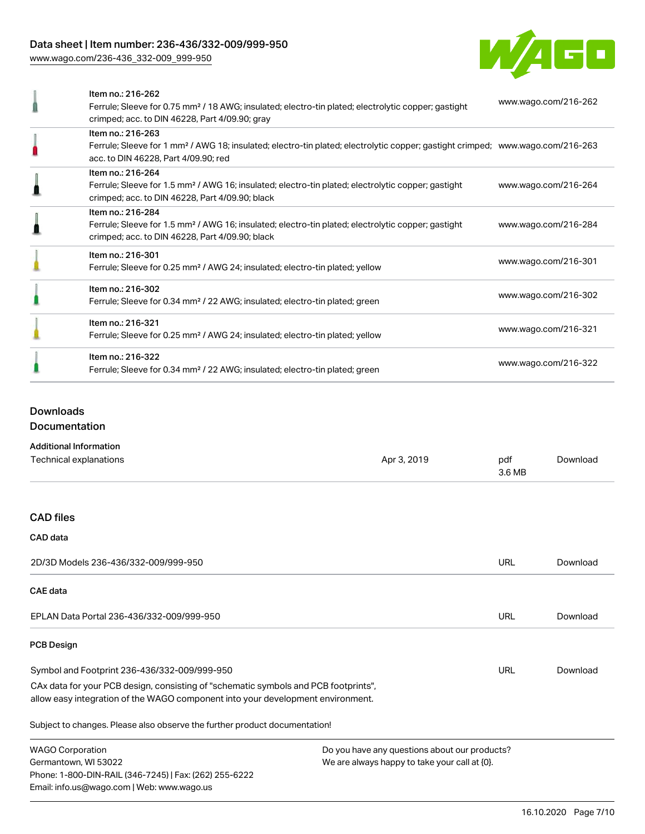### Data sheet | Item number: 236-436/332-009/999-950

[www.wago.com/236-436\\_332-009\\_999-950](http://www.wago.com/236-436_332-009_999-950)



| Item no.: 216-262<br>Ferrule; Sleeve for 0.75 mm <sup>2</sup> / 18 AWG; insulated; electro-tin plated; electrolytic copper; gastight<br>crimped; acc. to DIN 46228, Part 4/09.90; gray                  | www.wago.com/216-262 |
|---------------------------------------------------------------------------------------------------------------------------------------------------------------------------------------------------------|----------------------|
| Item no.: 216-263<br>Ferrule; Sleeve for 1 mm <sup>2</sup> / AWG 18; insulated; electro-tin plated; electrolytic copper; gastight crimped; www.wago.com/216-263<br>acc. to DIN 46228, Part 4/09.90; red |                      |
| Item no.: 216-264<br>Ferrule; Sleeve for 1.5 mm <sup>2</sup> / AWG 16; insulated; electro-tin plated; electrolytic copper; gastight<br>crimped; acc. to DIN 46228, Part 4/09.90; black                  | www.wago.com/216-264 |
| Item no.: 216-284<br>Ferrule; Sleeve for 1.5 mm <sup>2</sup> / AWG 16; insulated; electro-tin plated; electrolytic copper; gastight<br>crimped; acc. to DIN 46228, Part 4/09.90; black                  | www.wago.com/216-284 |
| Item no.: 216-301<br>Ferrule; Sleeve for 0.25 mm <sup>2</sup> / AWG 24; insulated; electro-tin plated; yellow                                                                                           | www.wago.com/216-301 |
| Item no.: 216-302<br>Ferrule; Sleeve for 0.34 mm <sup>2</sup> / 22 AWG; insulated; electro-tin plated; green                                                                                            | www.wago.com/216-302 |
| Item no.: 216-321<br>Ferrule; Sleeve for 0.25 mm <sup>2</sup> / AWG 24; insulated; electro-tin plated; yellow                                                                                           | www.wago.com/216-321 |
| Item no.: 216-322<br>Ferrule; Sleeve for 0.34 mm <sup>2</sup> / 22 AWG; insulated; electro-tin plated; green                                                                                            | www.wago.com/216-322 |

# Downloads

Documentation

### Additional Information

| Technical explanations                                                                                                                                                 | Apr 3, 2019                                   | pdf<br>3.6 MB | Download |
|------------------------------------------------------------------------------------------------------------------------------------------------------------------------|-----------------------------------------------|---------------|----------|
| <b>CAD files</b>                                                                                                                                                       |                                               |               |          |
| CAD data                                                                                                                                                               |                                               |               |          |
| 2D/3D Models 236-436/332-009/999-950                                                                                                                                   |                                               | <b>URL</b>    | Download |
| <b>CAE</b> data                                                                                                                                                        |                                               |               |          |
| EPLAN Data Portal 236-436/332-009/999-950                                                                                                                              |                                               | URL           | Download |
| <b>PCB Design</b>                                                                                                                                                      |                                               |               |          |
| Symbol and Footprint 236-436/332-009/999-950                                                                                                                           |                                               | URL           | Download |
| CAx data for your PCB design, consisting of "schematic symbols and PCB footprints",<br>allow easy integration of the WAGO component into your development environment. |                                               |               |          |
| Subject to changes. Please also observe the further product documentation!                                                                                             |                                               |               |          |
| <b>WAGO Corporation</b>                                                                                                                                                | Do you have any questions about our products? |               |          |
| Germantown, WI 53022<br>We are always happy to take your call at {0}.                                                                                                  |                                               |               |          |
| Phone: 1-800-DIN-RAIL (346-7245)   Fax: (262) 255-6222                                                                                                                 |                                               |               |          |
| Email: info.us@wago.com   Web: www.wago.us                                                                                                                             |                                               |               |          |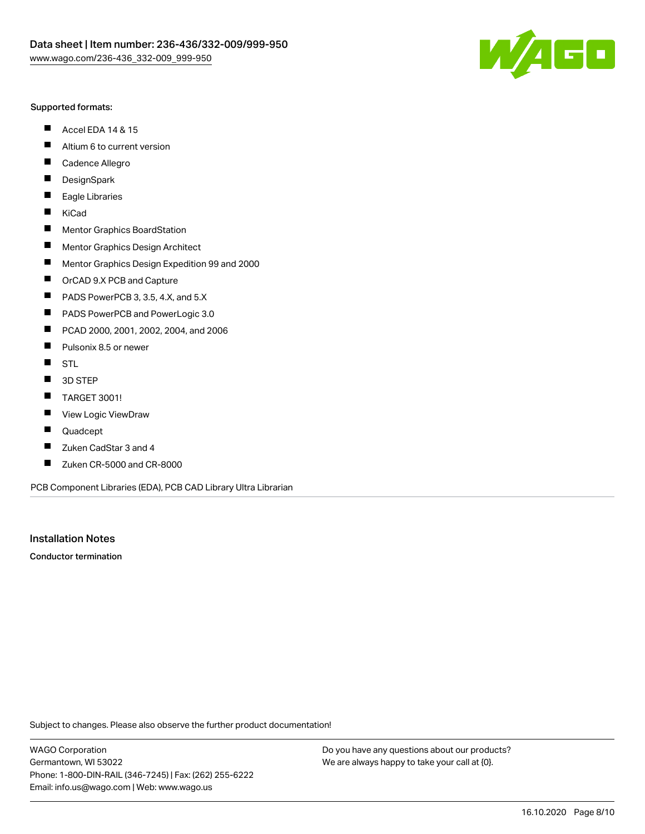

### Supported formats:

- $\blacksquare$ Accel EDA 14 & 15
- $\blacksquare$ Altium 6 to current version
- $\blacksquare$ Cadence Allegro
- $\blacksquare$ **DesignSpark**
- $\blacksquare$ Eagle Libraries
- $\blacksquare$ KiCad
- $\blacksquare$ Mentor Graphics BoardStation
- $\blacksquare$ Mentor Graphics Design Architect
- $\blacksquare$ Mentor Graphics Design Expedition 99 and 2000
- $\blacksquare$ OrCAD 9.X PCB and Capture
- $\blacksquare$ PADS PowerPCB 3, 3.5, 4.X, and 5.X
- $\blacksquare$ PADS PowerPCB and PowerLogic 3.0
- $\blacksquare$ PCAD 2000, 2001, 2002, 2004, and 2006
- $\blacksquare$ Pulsonix 8.5 or newer
- $\blacksquare$ STL
- 3D STEP П
- $\blacksquare$ TARGET 3001!
- $\blacksquare$ View Logic ViewDraw
- П Quadcept
- Zuken CadStar 3 and 4  $\blacksquare$
- Zuken CR-5000 and CR-8000 П

PCB Component Libraries (EDA), PCB CAD Library Ultra Librarian

Installation Notes

Conductor termination

Subject to changes. Please also observe the further product documentation!

WAGO Corporation Germantown, WI 53022 Phone: 1-800-DIN-RAIL (346-7245) | Fax: (262) 255-6222 Email: info.us@wago.com | Web: www.wago.us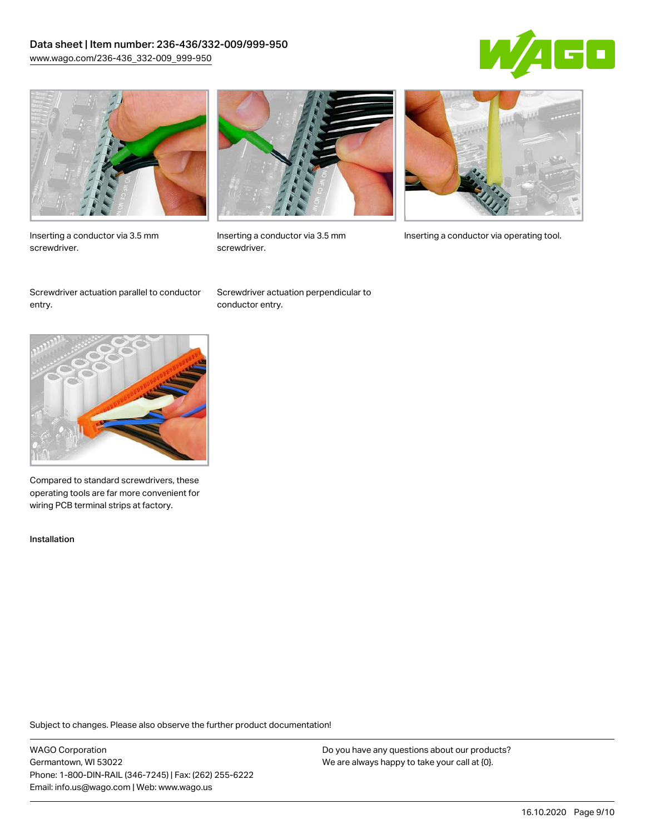## Data sheet | Item number: 236-436/332-009/999-950 [www.wago.com/236-436\\_332-009\\_999-950](http://www.wago.com/236-436_332-009_999-950)





Inserting a conductor via 3.5 mm screwdriver.



screwdriver.

Inserting a conductor via 3.5 mm Inserting a conductor via operating tool.

Screwdriver actuation parallel to conductor entry.

Screwdriver actuation perpendicular to conductor entry.



Compared to standard screwdrivers, these operating tools are far more convenient for wiring PCB terminal strips at factory.

Installation

Subject to changes. Please also observe the further product documentation!

WAGO Corporation Germantown, WI 53022 Phone: 1-800-DIN-RAIL (346-7245) | Fax: (262) 255-6222 Email: info.us@wago.com | Web: www.wago.us